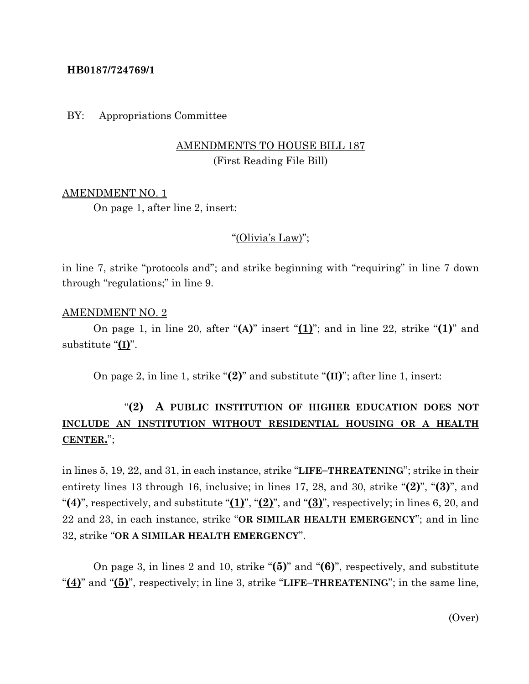### **HB0187/724769/1**

BY: Appropriations Committee

## AMENDMENTS TO HOUSE BILL 187 (First Reading File Bill)

### AMENDMENT NO. 1

On page 1, after line 2, insert:

### "(Olivia's Law)";

in line 7, strike "protocols and"; and strike beginning with "requiring" in line 7 down through "regulations;" in line 9.

#### AMENDMENT NO. 2

On page 1, in line 20, after "**(A)**" insert "**(1)**"; and in line 22, strike "**(1)**" and substitute "**(I)**".

On page 2, in line 1, strike "**(2)**" and substitute "**(II)**"; after line 1, insert:

# "**(2) A PUBLIC INSTITUTION OF HIGHER EDUCATION DOES NOT INCLUDE AN INSTITUTION WITHOUT RESIDENTIAL HOUSING OR A HEALTH CENTER.**";

in lines 5, 19, 22, and 31, in each instance, strike "**LIFE–THREATENING**"; strike in their entirety lines 13 through 16, inclusive; in lines 17, 28, and 30, strike "**(2)**", "**(3)**", and "**(4)**", respectively, and substitute "**(1)**", "**(2)**", and "**(3)**", respectively; in lines 6, 20, and 22 and 23, in each instance, strike "**OR SIMILAR HEALTH EMERGENCY**"; and in line 32, strike "**OR A SIMILAR HEALTH EMERGENCY**".

On page 3, in lines 2 and 10, strike "**(5)**" and "**(6)**", respectively, and substitute "**(4)**" and "**(5)**", respectively; in line 3, strike "**LIFE–THREATENING**"; in the same line,

(Over)